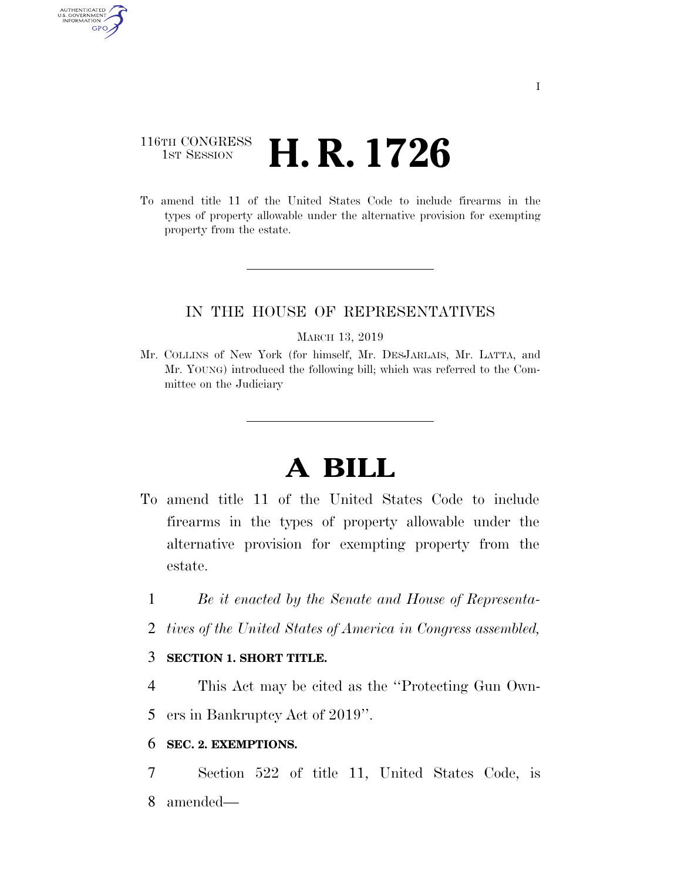# 116TH CONGRESS <sup>TH CONGRESS</sup> **H. R. 1726**

AUTHENTICATED U.S. GOVERNMENT GPO

> To amend title 11 of the United States Code to include firearms in the types of property allowable under the alternative provision for exempting property from the estate.

## IN THE HOUSE OF REPRESENTATIVES

#### MARCH 13, 2019

Mr. COLLINS of New York (for himself, Mr. DESJARLAIS, Mr. LATTA, and Mr. YOUNG) introduced the following bill; which was referred to the Committee on the Judiciary

# **A BILL**

- To amend title 11 of the United States Code to include firearms in the types of property allowable under the alternative provision for exempting property from the estate.
	- 1 *Be it enacted by the Senate and House of Representa-*
	- 2 *tives of the United States of America in Congress assembled,*

### 3 **SECTION 1. SHORT TITLE.**

4 This Act may be cited as the ''Protecting Gun Own-

5 ers in Bankruptcy Act of 2019''.

### 6 **SEC. 2. EXEMPTIONS.**

7 Section 522 of title 11, United States Code, is 8 amended—